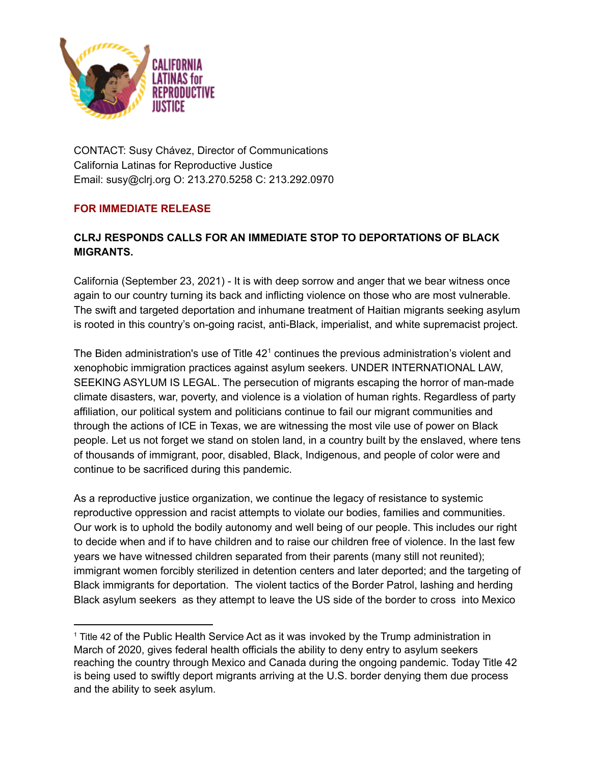

CONTACT: Susy Chávez, Director of Communications California Latinas for Reproductive Justice Email: susy@clrj.org O: 213.270.5258 C: 213.292.0970

## **FOR IMMEDIATE RELEASE**

## **CLRJ RESPONDS CALLS FOR AN IMMEDIATE STOP TO DEPORTATIONS OF BLACK MIGRANTS.**

California (September 23, 2021) - It is with deep sorrow and anger that we bear witness once again to our country turning its back and inflicting violence on those who are most vulnerable. The swift and targeted deportation and inhumane treatment of Haitian migrants seeking asylum is rooted in this country's on-going racist, anti-Black, imperialist, and white supremacist project.

The Biden administration's use of Title  $42<sup>1</sup>$  continues the previous administration's violent and xenophobic immigration practices against asylum seekers. UNDER INTERNATIONAL LAW, SEEKING ASYLUM IS LEGAL. The persecution of migrants escaping the horror of man-made climate disasters, war, poverty, and violence is a violation of human rights. Regardless of party affiliation, our political system and politicians continue to fail our migrant communities and through the actions of ICE in Texas, we are witnessing the most vile use of power on Black people. Let us not forget we stand on stolen land, in a country built by the enslaved, where tens of thousands of immigrant, poor, disabled, Black, Indigenous, and people of color were and continue to be sacrificed during this pandemic.

As a reproductive justice organization, we continue the legacy of resistance to systemic reproductive oppression and racist attempts to violate our bodies, families and communities. Our work is to uphold the bodily autonomy and well being of our people. This includes our right to decide when and if to have children and to raise our children free of violence. In the last few years we have witnessed children separated from their parents (many still not reunited); immigrant women forcibly sterilized in detention centers and later deported; and the targeting of Black immigrants for deportation. The violent tactics of the Border Patrol, lashing and herding Black asylum seekers as they attempt to leave the US side of the border to cross into Mexico

<sup>1</sup> Title 42 of the Public Health Service Act as it was invoked by the Trump administration in March of 2020, gives federal health officials the ability to deny entry to asylum seekers reaching the country through Mexico and Canada during the ongoing pandemic. Today Title 42 is being used to swiftly deport migrants arriving at the U.S. border denying them due process and the ability to seek asylum.